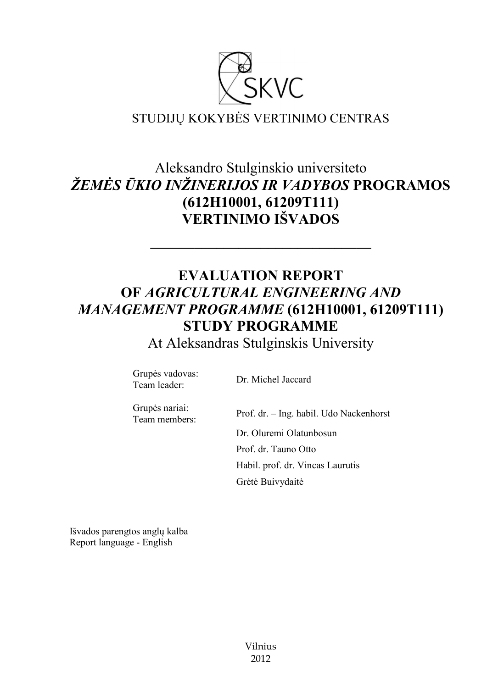

# Aleksandro Stulginskio universiteto *ŽEMĖS ŪKIO INŽINERIJOS IR VADYBOS* **PROGRAMOS (612H10001, 61209T111) VERTINIMO IŠVADOS**

# **EVALUATION REPORT OF** *AGRICULTURAL ENGINEERING AND MANAGEMENT PROGRAMME* **(612H10001, 61209T111) STUDY PROGRAMME**

**––––––––––––––––––––––––––––––**

At Aleksandras Stulginskis University

Grupės vadovas: Team leader: Dr. Michel Jaccard

Grupės nariai: Team members:

Prof. dr. – Ing. habil. Udo Nackenhorst Dr. Oluremi Olatunbosun Prof. dr. Tauno Otto Habil. prof. dr. Vincas Laurutis Grėtė Buivydaitė

Išvados parengtos anglų kalba Report language - English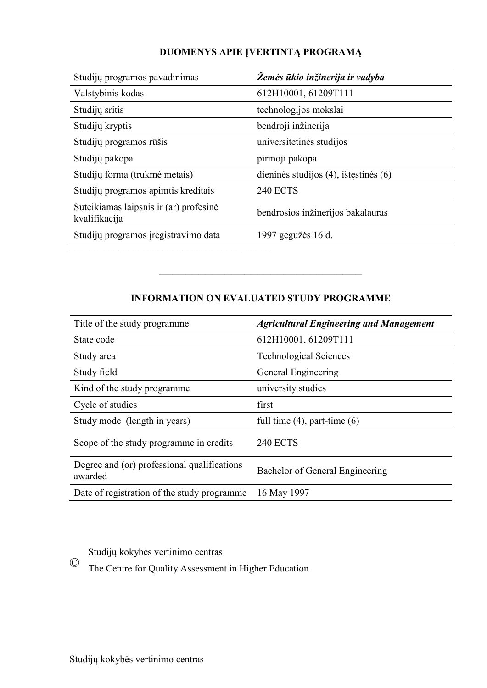| Studijų programos pavadinimas                           | Žemės ūkio inžinerija ir vadyba            |
|---------------------------------------------------------|--------------------------------------------|
| Valstybinis kodas                                       | 612H10001, 61209T111                       |
| Studijų sritis                                          | technologijos mokslai                      |
| Studijų kryptis                                         | bendroji inžinerija                        |
| Studijų programos rūšis                                 | universitetinės studijos                   |
| Studijų pakopa                                          | pirmoji pakopa                             |
| Studijų forma (trukmė metais)                           | dieninės studijos $(4)$ , ištęstinės $(6)$ |
| Studijų programos apimtis kreditais                     | <b>240 ECTS</b>                            |
| Suteikiamas laipsnis ir (ar) profesinė<br>kvalifikacija | bendrosios inžinerijos bakalauras          |
| Studijų programos įregistravimo data                    | 1997 gegužės 16 d.                         |
|                                                         |                                            |

# **DUOMENYS APIE ĮVERTINTĄ PROGRAMĄ**

# **INFORMATION ON EVALUATED STUDY PROGRAMME**

–––––––––––––––––––––––––––––––

| Title of the study programme.                          | <b>Agricultural Engineering and Management</b> |
|--------------------------------------------------------|------------------------------------------------|
| State code                                             | 612H10001, 61209T111                           |
| Study area                                             | <b>Technological Sciences</b>                  |
| Study field                                            | General Engineering                            |
| Kind of the study programme                            | university studies                             |
| Cycle of studies                                       | first                                          |
| Study mode (length in years)                           | full time $(4)$ , part-time $(6)$              |
| Scope of the study programme in credits                | <b>240 ECTS</b>                                |
| Degree and (or) professional qualifications<br>awarded | Bachelor of General Engineering                |
| Date of registration of the study programme            | 16 May 1997                                    |

Studijų kokybės vertinimo centras

© The Centre for Quality Assessment in Higher Education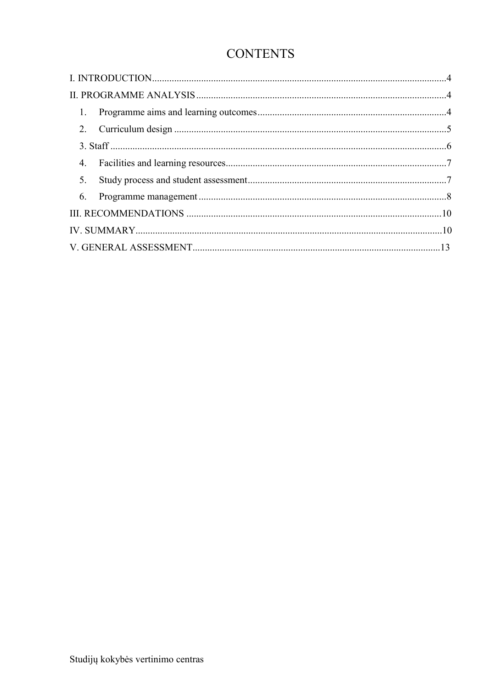# **CONTENTS**

| $\mathbf{1}$ . |  |
|----------------|--|
|                |  |
|                |  |
| 4.             |  |
| 5.             |  |
| 6.             |  |
|                |  |
|                |  |
|                |  |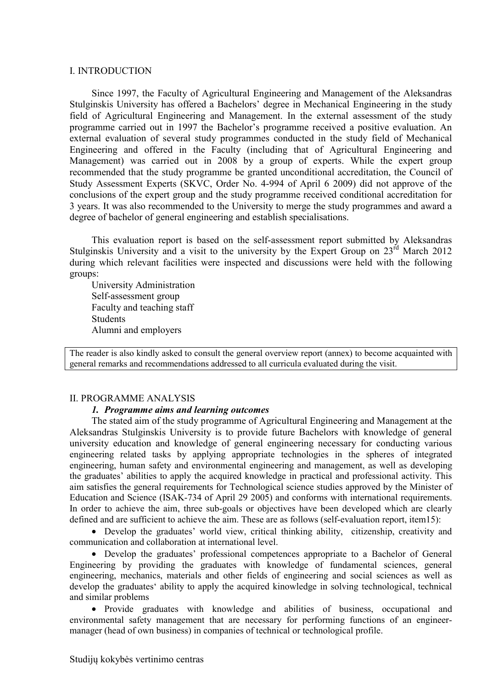#### <span id="page-3-0"></span>I. INTRODUCTION

Since 1997, the Faculty of Agricultural Engineering and Management of the Aleksandras Stulginskis University has offered a Bachelors' degree in Mechanical Engineering in the study field of Agricultural Engineering and Management. In the external assessment of the study programme carried out in 1997 the Bachelor's programme received a positive evaluation. An external evaluation of several study programmes conducted in the study field of Mechanical Engineering and offered in the Faculty (including that of Agricultural Engineering and Management) was carried out in 2008 by a group of experts. While the expert group recommended that the study programme be granted unconditional accreditation, the Council of Study Assessment Experts (SKVC, Order No. 4-994 of April 6 2009) did not approve of the conclusions of the expert group and the study programme received conditional accreditation for 3 years. It was also recommended to the University to merge the study programmes and award a degree of bachelor of general engineering and establish specialisations.

This evaluation report is based on the self-assessment report submitted by Aleksandras Stulginskis University and a visit to the university by the Expert Group on  $23<sup>rd</sup>$  March 2012 during which relevant facilities were inspected and discussions were held with the following groups:

University Administration Self-assessment group Faculty and teaching staff **Students** Alumni and employers

The reader is also kindly asked to consult the general overview report (annex) to become acquainted with general remarks and recommendations addressed to all curricula evaluated during the visit.

#### <span id="page-3-2"></span><span id="page-3-1"></span>II. PROGRAMME ANALYSIS

#### *1. Programme aims and learning outcomes*

The stated aim of the study programme of Agricultural Engineering and Management at the Aleksandras Stulginskis University is to provide future Bachelors with knowledge of general university education and knowledge of general engineering necessary for conducting various engineering related tasks by applying appropriate technologies in the spheres of integrated engineering, human safety and environmental engineering and management, as well as developing the graduates' abilities to apply the acquired knowledge in practical and professional activity. This aim satisfies the general requirements for Technological science studies approved by the Minister of Education and Science (ISAK-734 of April 29 2005) and conforms with international requirements. In order to achieve the aim, three sub-goals or objectives have been developed which are clearly defined and are sufficient to achieve the aim. These are as follows (self-evaluation report, item15):

 Develop the graduates' world view, critical thinking ability, citizenship, creativity and communication and collaboration at international level.

 Develop the graduates' professional competences appropriate to a Bachelor of General Engineering by providing the graduates with knowledge of fundamental sciences, general engineering, mechanics, materials and other fields of engineering and social sciences as well as develop the graduates' ability to apply the acquired kinowledge in solving technological, technical and similar problems

• Provide graduates with knowledge and abilities of business, occupational and environmental safety management that are necessary for performing functions of an engineermanager (head of own business) in companies of technical or technological profile.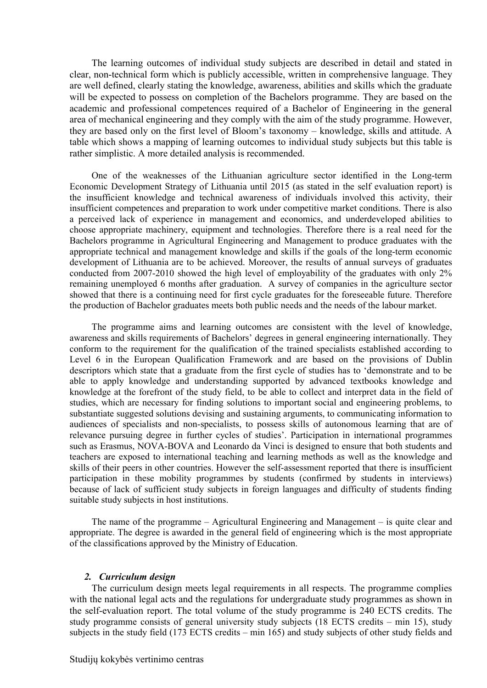The learning outcomes of individual study subjects are described in detail and stated in clear, non-technical form which is publicly accessible, written in comprehensive language. They are well defined, clearly stating the knowledge, awareness, abilities and skills which the graduate will be expected to possess on completion of the Bachelors programme. They are based on the academic and professional competences required of a Bachelor of Engineering in the general area of mechanical engineering and they comply with the aim of the study programme. However, they are based only on the first level of Bloom's taxonomy – knowledge, skills and attitude. A table which shows a mapping of learning outcomes to individual study subjects but this table is rather simplistic. A more detailed analysis is recommended.

One of the weaknesses of the Lithuanian agriculture sector identified in the Long-term Economic Development Strategy of Lithuania until 2015 (as stated in the self evaluation report) is the insufficient knowledge and technical awareness of individuals involved this activity, their insufficient competences and preparation to work under competitive market conditions. There is also a perceived lack of experience in management and economics, and underdeveloped abilities to choose appropriate machinery, equipment and technologies. Therefore there is a real need for the Bachelors programme in Agricultural Engineering and Management to produce graduates with the appropriate technical and management knowledge and skills if the goals of the long-term economic development of Lithuania are to be achieved. Moreover, the results of annual surveys of graduates conducted from 2007-2010 showed the high level of employability of the graduates with only 2% remaining unemployed 6 months after graduation. A survey of companies in the agriculture sector showed that there is a continuing need for first cycle graduates for the foreseeable future. Therefore the production of Bachelor graduates meets both public needs and the needs of the labour market.

The programme aims and learning outcomes are consistent with the level of knowledge, awareness and skills requirements of Bachelors' degrees in general engineering internationally. They conform to the requirement for the qualification of the trained specialists established according to Level 6 in the European Qualification Framework and are based on the provisions of Dublin descriptors which state that a graduate from the first cycle of studies has to 'demonstrate and to be able to apply knowledge and understanding supported by advanced textbooks knowledge and knowledge at the forefront of the study field, to be able to collect and interpret data in the field of studies, which are necessary for finding solutions to important social and engineering problems, to substantiate suggested solutions devising and sustaining arguments, to communicating information to audiences of specialists and non-specialists, to possess skills of autonomous learning that are of relevance pursuing degree in further cycles of studies'. Participation in international programmes such as Erasmus, NOVA-BOVA and Leonardo da Vinci is designed to ensure that both students and teachers are exposed to international teaching and learning methods as well as the knowledge and skills of their peers in other countries. However the self-assessment reported that there is insufficient participation in these mobility programmes by students (confirmed by students in interviews) because of lack of sufficient study subjects in foreign languages and difficulty of students finding suitable study subjects in host institutions.

The name of the programme – Agricultural Engineering and Management – is quite clear and appropriate. The degree is awarded in the general field of engineering which is the most appropriate of the classifications approved by the Ministry of Education.

#### *2. Curriculum design*

<span id="page-4-0"></span>The curriculum design meets legal requirements in all respects. The programme complies with the national legal acts and the regulations for undergraduate study programmes as shown in the self-evaluation report. The total volume of the study programme is 240 ECTS credits. The study programme consists of general university study subjects (18 ECTS credits – min 15), study subjects in the study field (173 ECTS credits – min 165) and study subjects of other study fields and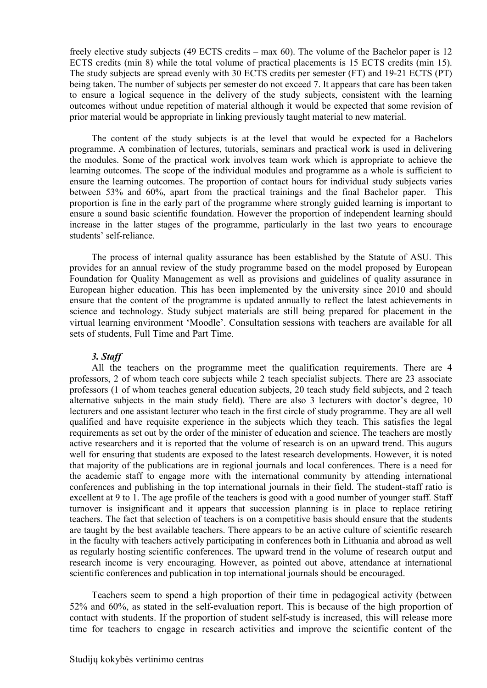freely elective study subjects (49 ECTS credits – max 60). The volume of the Bachelor paper is 12 ECTS credits (min 8) while the total volume of practical placements is 15 ECTS credits (min 15). The study subjects are spread evenly with 30 ECTS credits per semester (FT) and 19-21 ECTS (PT) being taken. The number of subjects per semester do not exceed 7. It appears that care has been taken to ensure a logical sequence in the delivery of the study subjects, consistent with the learning outcomes without undue repetition of material although it would be expected that some revision of prior material would be appropriate in linking previously taught material to new material.

The content of the study subjects is at the level that would be expected for a Bachelors programme. A combination of lectures, tutorials, seminars and practical work is used in delivering the modules. Some of the practical work involves team work which is appropriate to achieve the learning outcomes. The scope of the individual modules and programme as a whole is sufficient to ensure the learning outcomes. The proportion of contact hours for individual study subjects varies between 53% and 60%, apart from the practical trainings and the final Bachelor paper. This proportion is fine in the early part of the programme where strongly guided learning is important to ensure a sound basic scientific foundation. However the proportion of independent learning should increase in the latter stages of the programme, particularly in the last two years to encourage students' self-reliance.

The process of internal quality assurance has been established by the Statute of ASU. This provides for an annual review of the study programme based on the model proposed by European Foundation for Quality Management as well as provisions and guidelines of quality assurance in European higher education. This has been implemented by the university since 2010 and should ensure that the content of the programme is updated annually to reflect the latest achievements in science and technology. Study subject materials are still being prepared for placement in the virtual learning environment 'Moodle'. Consultation sessions with teachers are available for all sets of students, Full Time and Part Time.

## *3. Staff*

<span id="page-5-0"></span>All the teachers on the programme meet the qualification requirements. There are 4 professors, 2 of whom teach core subjects while 2 teach specialist subjects. There are 23 associate professors (1 of whom teaches general education subjects, 20 teach study field subjects, and 2 teach alternative subjects in the main study field). There are also 3 lecturers with doctor's degree, 10 lecturers and one assistant lecturer who teach in the first circle of study programme. They are all well qualified and have requisite experience in the subjects which they teach. This satisfies the legal requirements as set out by the order of the minister of education and science. The teachers are mostly active researchers and it is reported that the volume of research is on an upward trend. This augurs well for ensuring that students are exposed to the latest research developments. However, it is noted that majority of the publications are in regional journals and local conferences. There is a need for the academic staff to engage more with the international community by attending international conferences and publishing in the top international journals in their field. The student-staff ratio is excellent at 9 to 1. The age profile of the teachers is good with a good number of younger staff. Staff turnover is insignificant and it appears that succession planning is in place to replace retiring teachers. The fact that selection of teachers is on a competitive basis should ensure that the students are taught by the best available teachers. There appears to be an active culture of scientific research in the faculty with teachers actively participating in conferences both in Lithuania and abroad as well as regularly hosting scientific conferences. The upward trend in the volume of research output and research income is very encouraging. However, as pointed out above, attendance at international scientific conferences and publication in top international journals should be encouraged.

Teachers seem to spend a high proportion of their time in pedagogical activity (between 52% and 60%, as stated in the self-evaluation report. This is because of the high proportion of contact with students. If the proportion of student self-study is increased, this will release more time for teachers to engage in research activities and improve the scientific content of the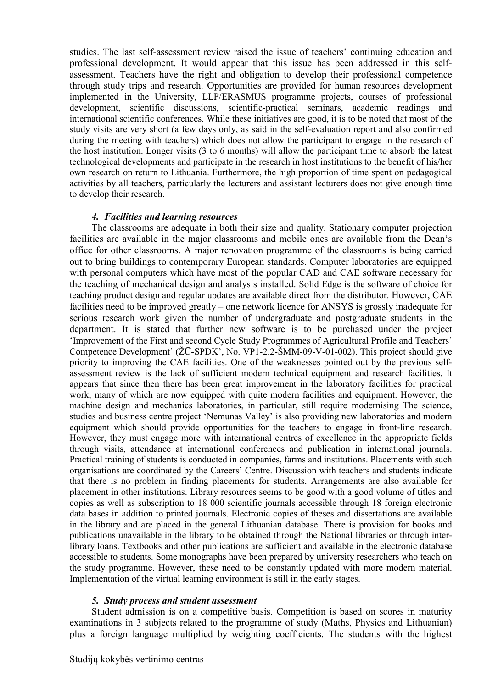studies. The last self-assessment review raised the issue of teachers' continuing education and professional development. It would appear that this issue has been addressed in this selfassessment. Teachers have the right and obligation to develop their professional competence through study trips and research. Opportunities are provided for human resources development implemented in the University, LLP/ERASMUS programme projects, courses of professional development, scientific discussions, scientific-practical seminars, academic readings and international scientific conferences. While these initiatives are good, it is to be noted that most of the study visits are very short (a few days only, as said in the self-evaluation report and also confirmed during the meeting with teachers) which does not allow the participant to engage in the research of the host institution. Longer visits (3 to 6 months) will allow the participant time to absorb the latest technological developments and participate in the research in host institutions to the benefit of his/her own research on return to Lithuania. Furthermore, the high proportion of time spent on pedagogical activities by all teachers, particularly the lecturers and assistant lecturers does not give enough time to develop their research.

#### *4. Facilities and learning resources*

<span id="page-6-0"></span>The classrooms are adequate in both their size and quality. Stationary computer projection facilities are available in the major classrooms and mobile ones are available from the Dean's office for other classrooms. A major renovation programme of the classrooms is being carried out to bring buildings to contemporary European standards. Computer laboratories are equipped with personal computers which have most of the popular CAD and CAE software necessary for the teaching of mechanical design and analysis installed. Solid Edge is the software of choice for teaching product design and regular updates are available direct from the distributor. However, CAE facilities need to be improved greatly – one network licence for ANSYS is grossly inadequate for serious research work given the number of undergraduate and postgraduate students in the department. It is stated that further new software is to be purchased under the project 'Improvement of the First and second Cycle Study Programmes of Agricultural Profile and Teachers' Competence Development' (ŽŪ-SPDK', No. VP1-2.2-ŠMM-09-V-01-002). This project should give priority to improving the CAE facilities. One of the weaknesses pointed out by the previous selfassessment review is the lack of sufficient modern technical equipment and research facilities. It appears that since then there has been great improvement in the laboratory facilities for practical work, many of which are now equipped with quite modern facilities and equipment. However, the machine design and mechanics laboratories, in particular, still require modernising The science, studies and business centre project 'Nemunas Valley' is also providing new laboratories and modern equipment which should provide opportunities for the teachers to engage in front-line research. However, they must engage more with international centres of excellence in the appropriate fields through visits, attendance at international conferences and publication in international journals. Practical training of students is conducted in companies, farms and institutions. Placements with such organisations are coordinated by the Careers' Centre. Discussion with teachers and students indicate that there is no problem in finding placements for students. Arrangements are also available for placement in other institutions. Library resources seems to be good with a good volume of titles and copies as well as subscription to 18 000 scientific journals accessible through 18 foreign electronic data bases in addition to printed journals. Electronic copies of theses and dissertations are available in the library and are placed in the general Lithuanian database. There is provision for books and publications unavailable in the library to be obtained through the National libraries or through interlibrary loans. Textbooks and other publications are sufficient and available in the electronic database accessible to students. Some monographs have been prepared by university researchers who teach on the study programme. However, these need to be constantly updated with more modern material. Implementation of the virtual learning environment is still in the early stages.

## *5. Study process and student assessment*

<span id="page-6-1"></span>Student admission is on a competitive basis. Competition is based on scores in maturity examinations in 3 subjects related to the programme of study (Maths, Physics and Lithuanian) plus a foreign language multiplied by weighting coefficients. The students with the highest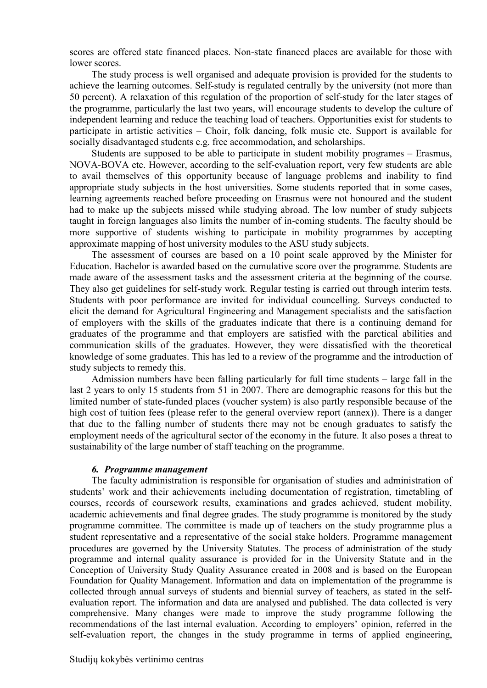scores are offered state financed places. Non-state financed places are available for those with lower scores.

The study process is well organised and adequate provision is provided for the students to achieve the learning outcomes. Self-study is regulated centrally by the university (not more than 50 percent). A relaxation of this regulation of the proportion of self-study for the later stages of the programme, particularly the last two years, will encourage students to develop the culture of independent learning and reduce the teaching load of teachers. Opportunities exist for students to participate in artistic activities – Choir, folk dancing, folk music etc. Support is available for socially disadvantaged students e.g. free accommodation, and scholarships.

Students are supposed to be able to participate in student mobility programes – Erasmus, NOVA-BOVA etc. However, according to the self-evaluation report, very few students are able to avail themselves of this opportunity because of language problems and inability to find appropriate study subjects in the host universities. Some students reported that in some cases, learning agreements reached before proceeding on Erasmus were not honoured and the student had to make up the subjects missed while studying abroad. The low number of study subjects taught in foreign languages also limits the number of in-coming students. The faculty should be more supportive of students wishing to participate in mobility programmes by accepting approximate mapping of host university modules to the ASU study subjects.

The assessment of courses are based on a 10 point scale approved by the Minister for Education. Bachelor is awarded based on the cumulative score over the programme. Students are made aware of the assessment tasks and the assessment criteria at the beginning of the course. They also get guidelines for self-study work. Regular testing is carried out through interim tests. Students with poor performance are invited for individual councelling. Surveys conducted to elicit the demand for Agricultural Engineering and Management specialists and the satisfaction of employers with the skills of the graduates indicate that there is a continuing demand for graduates of the programme and that employers are satisfied with the parctical abilities and communication skills of the graduates. However, they were dissatisfied with the theoretical knowledge of some graduates. This has led to a review of the programme and the introduction of study subjects to remedy this.

Admission numbers have been falling particularly for full time students – large fall in the last 2 years to only 15 students from 51 in 2007. There are demographic reasons for this but the limited number of state-funded places (voucher system) is also partly responsible because of the high cost of tuition fees (please refer to the general overview report (annex)). There is a danger that due to the falling number of students there may not be enough graduates to satisfy the employment needs of the agricultural sector of the economy in the future. It also poses a threat to sustainability of the large number of staff teaching on the programme.

#### *6. Programme management*

<span id="page-7-0"></span>The faculty administration is responsible for organisation of studies and administration of students' work and their achievements including documentation of registration, timetabling of courses, records of coursework results, examinations and grades achieved, student mobility, academic achievements and final degree grades. The study programme is monitored by the study programme committee. The committee is made up of teachers on the study programme plus a student representative and a representative of the social stake holders. Programme management procedures are governed by the University Statutes. The process of administration of the study programme and internal quality assurance is provided for in the University Statute and in the Conception of University Study Quality Assurance created in 2008 and is based on the European Foundation for Quality Management. Information and data on implementation of the programme is collected through annual surveys of students and biennial survey of teachers, as stated in the selfevaluation report. The information and data are analysed and published. The data collected is very comprehensive. Many changes were made to improve the study programme following the recommendations of the last internal evaluation. According to employers' opinion, referred in the self-evaluation report, the changes in the study programme in terms of applied engineering,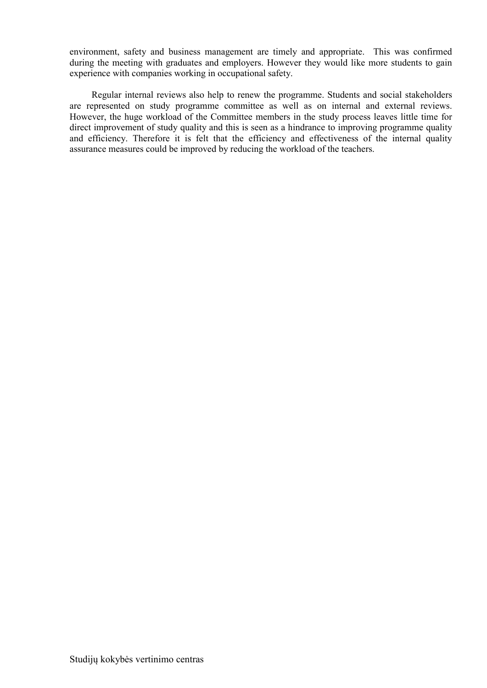environment, safety and business management are timely and appropriate. This was confirmed during the meeting with graduates and employers. However they would like more students to gain experience with companies working in occupational safety.

Regular internal reviews also help to renew the programme. Students and social stakeholders are represented on study programme committee as well as on internal and external reviews. However, the huge workload of the Committee members in the study process leaves little time for direct improvement of study quality and this is seen as a hindrance to improving programme quality and efficiency. Therefore it is felt that the efficiency and effectiveness of the internal quality assurance measures could be improved by reducing the workload of the teachers.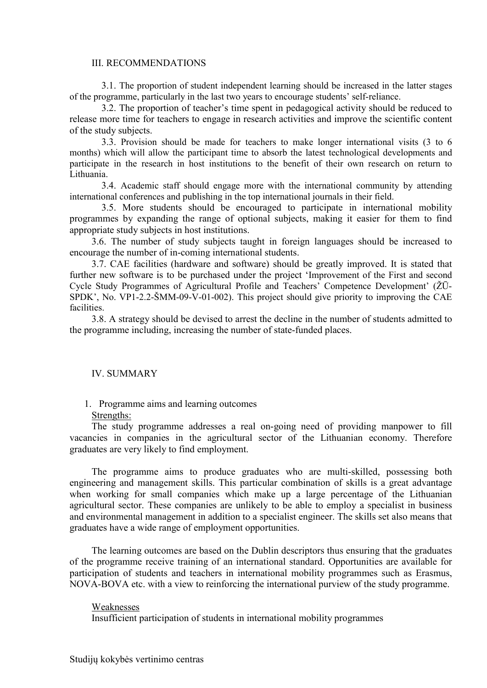#### III. RECOMMENDATIONS

<span id="page-9-0"></span> 3.1. The proportion of student independent learning should be increased in the latter stages of the programme, particularly in the last two years to encourage students' self-reliance.

3.2. The proportion of teacher's time spent in pedagogical activity should be reduced to release more time for teachers to engage in research activities and improve the scientific content of the study subjects.

3.3. Provision should be made for teachers to make longer international visits (3 to 6 months) which will allow the participant time to absorb the latest technological developments and participate in the research in host institutions to the benefit of their own research on return to Lithuania.

 3.4. Academic staff should engage more with the international community by attending international conferences and publishing in the top international journals in their field.

 3.5. More students should be encouraged to participate in international mobility programmes by expanding the range of optional subjects, making it easier for them to find appropriate study subjects in host institutions.

3.6. The number of study subjects taught in foreign languages should be increased to encourage the number of in-coming international students.

3.7. CAE facilities (hardware and software) should be greatly improved. It is stated that further new software is to be purchased under the project 'Improvement of the First and second Cycle Study Programmes of Agricultural Profile and Teachers' Competence Development' (ŽŪ-SPDK', No. VP1-2.2-ŠMM-09-V-01-002). This project should give priority to improving the CAE facilities.

3.8. A strategy should be devised to arrest the decline in the number of students admitted to the programme including, increasing the number of state-funded places.

#### IV. SUMMARY

#### 1. Programme aims and learning outcomes

#### Strengths:

The study programme addresses a real on-going need of providing manpower to fill vacancies in companies in the agricultural sector of the Lithuanian economy. Therefore graduates are very likely to find employment.

The programme aims to produce graduates who are multi-skilled, possessing both engineering and management skills. This particular combination of skills is a great advantage when working for small companies which make up a large percentage of the Lithuanian agricultural sector. These companies are unlikely to be able to employ a specialist in business and environmental management in addition to a specialist engineer. The skills set also means that graduates have a wide range of employment opportunities.

The learning outcomes are based on the Dublin descriptors thus ensuring that the graduates of the programme receive training of an international standard. Opportunities are available for participation of students and teachers in international mobility programmes such as Erasmus, NOVA-BOVA etc. with a view to reinforcing the international purview of the study programme.

#### Weaknesses

Insufficient participation of students in international mobility programmes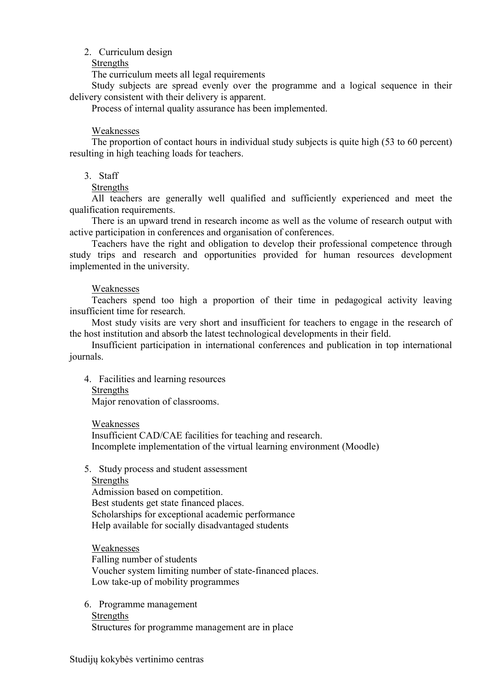## 2. Curriculum design

## Strengths

The curriculum meets all legal requirements

Study subjects are spread evenly over the programme and a logical sequence in their delivery consistent with their delivery is apparent.

Process of internal quality assurance has been implemented.

### Weaknesses

The proportion of contact hours in individual study subjects is quite high (53 to 60 percent) resulting in high teaching loads for teachers.

## 3. Staff

#### Strengths

All teachers are generally well qualified and sufficiently experienced and meet the qualification requirements.

There is an upward trend in research income as well as the volume of research output with active participation in conferences and organisation of conferences.

Teachers have the right and obligation to develop their professional competence through study trips and research and opportunities provided for human resources development implemented in the university.

#### Weaknesses

Teachers spend too high a proportion of their time in pedagogical activity leaving insufficient time for research.

Most study visits are very short and insufficient for teachers to engage in the research of the host institution and absorb the latest technological developments in their field.

Insufficient participation in international conferences and publication in top international journals.

- 4. Facilities and learning resources
	- Strengths

Major renovation of classrooms.

Weaknesses

Insufficient CAD/CAE facilities for teaching and research. Incomplete implementation of the virtual learning environment (Moodle)

#### 5. Study process and student assessment

#### Strengths

Admission based on competition. Best students get state financed places. Scholarships for exceptional academic performance Help available for socially disadvantaged students

Weaknesses Falling number of students Voucher system limiting number of state-financed places. Low take-up of mobility programmes

6. Programme management Strengths Structures for programme management are in place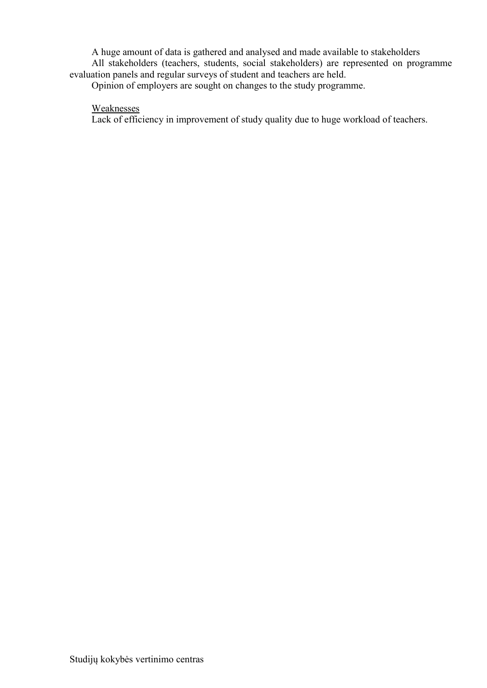A huge amount of data is gathered and analysed and made available to stakeholders All stakeholders (teachers, students, social stakeholders) are represented on programme evaluation panels and regular surveys of student and teachers are held.

Opinion of employers are sought on changes to the study programme.

# **Weaknesses**

Lack of efficiency in improvement of study quality due to huge workload of teachers.